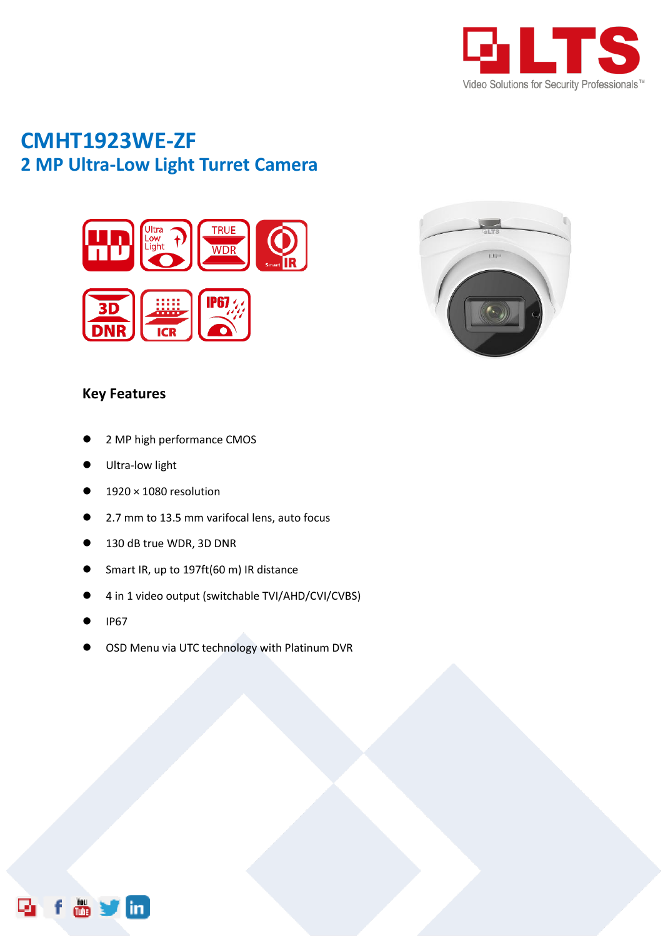

# **CMHT1923WE-ZF 2 MP Ultra-Low Light Turret Camera**





### **Key Features**

- 2 MP high performance CMOS
- Ultra-low light
- 1920 × 1080 resolution
- 2.7 mm to 13.5 mm varifocal lens, auto focus
- 130 dB true WDR, 3D DNR
- Smart IR, up to 197ft(60 m) IR distance
- 4 in 1 video output (switchable TVI/AHD/CVI/CVBS)
- IP67
- OSD Menu via UTC technology with Platinum DVR

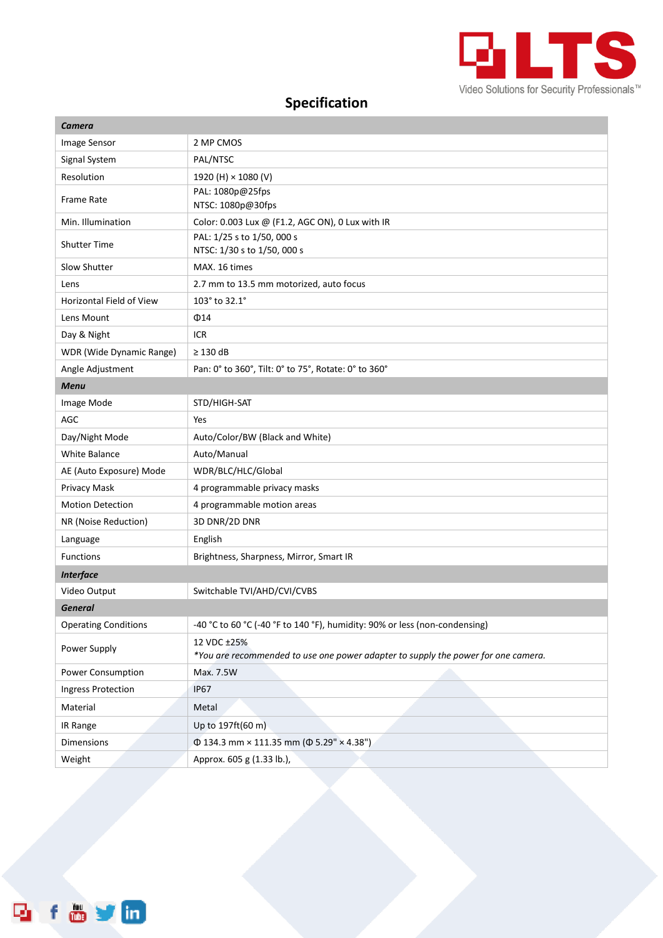

## **Specification**

| 2 MP CMOS<br>Image Sensor<br>Signal System<br>PAL/NTSC<br>Resolution<br>1920 (H) × 1080 (V)<br>PAL: 1080p@25fps<br><b>Frame Rate</b><br>NTSC: 1080p@30fps<br>Color: 0.003 Lux @ (F1.2, AGC ON), 0 Lux with IR<br>Min. Illumination<br>PAL: 1/25 s to 1/50, 000 s<br><b>Shutter Time</b><br>NTSC: 1/30 s to 1/50, 000 s<br>Slow Shutter<br>MAX. 16 times<br>2.7 mm to 13.5 mm motorized, auto focus<br>Lens<br>103° to 32.1°<br><b>Horizontal Field of View</b><br>Lens Mount<br>$\Phi$ 14<br><b>ICR</b><br>Day & Night<br>$\geq 130$ dB<br>WDR (Wide Dynamic Range) |
|---------------------------------------------------------------------------------------------------------------------------------------------------------------------------------------------------------------------------------------------------------------------------------------------------------------------------------------------------------------------------------------------------------------------------------------------------------------------------------------------------------------------------------------------------------------------|
|                                                                                                                                                                                                                                                                                                                                                                                                                                                                                                                                                                     |
|                                                                                                                                                                                                                                                                                                                                                                                                                                                                                                                                                                     |
|                                                                                                                                                                                                                                                                                                                                                                                                                                                                                                                                                                     |
|                                                                                                                                                                                                                                                                                                                                                                                                                                                                                                                                                                     |
|                                                                                                                                                                                                                                                                                                                                                                                                                                                                                                                                                                     |
|                                                                                                                                                                                                                                                                                                                                                                                                                                                                                                                                                                     |
|                                                                                                                                                                                                                                                                                                                                                                                                                                                                                                                                                                     |
|                                                                                                                                                                                                                                                                                                                                                                                                                                                                                                                                                                     |
|                                                                                                                                                                                                                                                                                                                                                                                                                                                                                                                                                                     |
|                                                                                                                                                                                                                                                                                                                                                                                                                                                                                                                                                                     |
|                                                                                                                                                                                                                                                                                                                                                                                                                                                                                                                                                                     |
|                                                                                                                                                                                                                                                                                                                                                                                                                                                                                                                                                                     |
| Angle Adjustment<br>Pan: 0° to 360°, Tilt: 0° to 75°, Rotate: 0° to 360°                                                                                                                                                                                                                                                                                                                                                                                                                                                                                            |
| <b>Menu</b>                                                                                                                                                                                                                                                                                                                                                                                                                                                                                                                                                         |
| STD/HIGH-SAT<br>Image Mode                                                                                                                                                                                                                                                                                                                                                                                                                                                                                                                                          |
| AGC<br>Yes                                                                                                                                                                                                                                                                                                                                                                                                                                                                                                                                                          |
| Day/Night Mode<br>Auto/Color/BW (Black and White)                                                                                                                                                                                                                                                                                                                                                                                                                                                                                                                   |
| <b>White Balance</b><br>Auto/Manual                                                                                                                                                                                                                                                                                                                                                                                                                                                                                                                                 |
| AE (Auto Exposure) Mode<br>WDR/BLC/HLC/Global                                                                                                                                                                                                                                                                                                                                                                                                                                                                                                                       |
| Privacy Mask<br>4 programmable privacy masks                                                                                                                                                                                                                                                                                                                                                                                                                                                                                                                        |
| <b>Motion Detection</b><br>4 programmable motion areas                                                                                                                                                                                                                                                                                                                                                                                                                                                                                                              |
| 3D DNR/2D DNR<br>NR (Noise Reduction)                                                                                                                                                                                                                                                                                                                                                                                                                                                                                                                               |
| English<br>Language                                                                                                                                                                                                                                                                                                                                                                                                                                                                                                                                                 |
| <b>Functions</b><br>Brightness, Sharpness, Mirror, Smart IR                                                                                                                                                                                                                                                                                                                                                                                                                                                                                                         |
| <b>Interface</b>                                                                                                                                                                                                                                                                                                                                                                                                                                                                                                                                                    |
| Switchable TVI/AHD/CVI/CVBS<br>Video Output                                                                                                                                                                                                                                                                                                                                                                                                                                                                                                                         |
| <b>General</b>                                                                                                                                                                                                                                                                                                                                                                                                                                                                                                                                                      |
| -40 °C to 60 °C (-40 °F to 140 °F), humidity: 90% or less (non-condensing)<br><b>Operating Conditions</b>                                                                                                                                                                                                                                                                                                                                                                                                                                                           |
| 12 VDC ±25%<br>Power Supply<br>*You are recommended to use one power adapter to supply the power for one camera.                                                                                                                                                                                                                                                                                                                                                                                                                                                    |
| Power Consumption<br>Max. 7.5W                                                                                                                                                                                                                                                                                                                                                                                                                                                                                                                                      |
| Ingress Protection<br><b>IP67</b>                                                                                                                                                                                                                                                                                                                                                                                                                                                                                                                                   |
| Material<br>Metal                                                                                                                                                                                                                                                                                                                                                                                                                                                                                                                                                   |
| Up to 197ft(60 m)<br>IR Range                                                                                                                                                                                                                                                                                                                                                                                                                                                                                                                                       |
| $\Phi$ 134.3 mm × 111.35 mm ( $\Phi$ 5.29" × 4.38")<br><b>Dimensions</b>                                                                                                                                                                                                                                                                                                                                                                                                                                                                                            |
| Weight<br>Approx. 605 g (1.33 lb.),                                                                                                                                                                                                                                                                                                                                                                                                                                                                                                                                 |

**Rifavm**